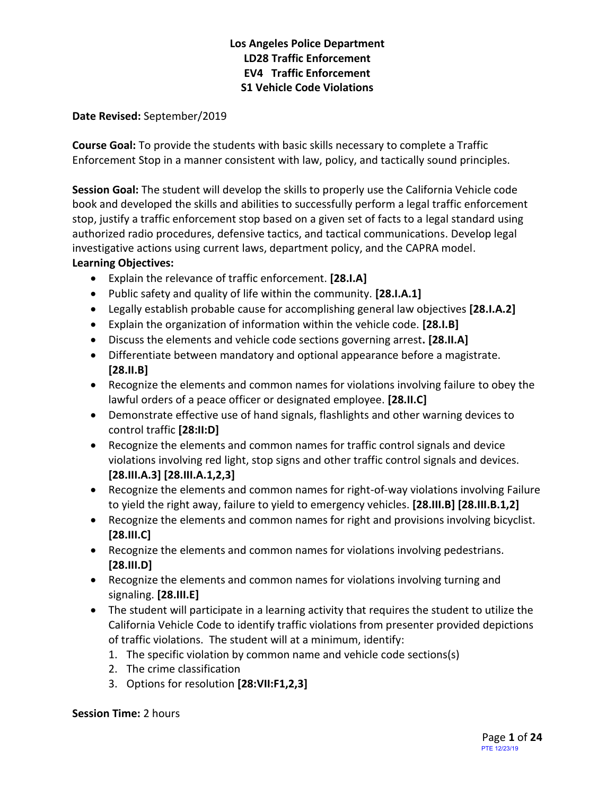#### **Date Revised:** September/2019

**Course Goal:** To provide the students with basic skills necessary to complete a Traffic Enforcement Stop in a manner consistent with law, policy, and tactically sound principles.

**Session Goal:** The student will develop the skills to properly use the California Vehicle code book and developed the skills and abilities to successfully perform a legal traffic enforcement stop, justify a traffic enforcement stop based on a given set of facts to a legal standard using authorized radio procedures, defensive tactics, and tactical communications. Develop legal investigative actions using current laws, department policy, and the CAPRA model. **Learning Objectives:**

- Explain the relevance of traffic enforcement. **[28.I.A]**
- Public safety and quality of life within the community. **[28.I.A.1]**
- Legally establish probable cause for accomplishing general law objectives **[28.I.A.2]**
- Explain the organization of information within the vehicle code. **[28.I.B]**
- Discuss the elements and vehicle code sections governing arrest**. [28.II.A]**
- Differentiate between mandatory and optional appearance before a magistrate. **[28.II.B]**
- Recognize the elements and common names for violations involving failure to obey the lawful orders of a peace officer or designated employee. **[28.II.C]**
- Demonstrate effective use of hand signals, flashlights and other warning devices to control traffic **[28:II:D]**
- Recognize the elements and common names for traffic control signals and device violations involving red light, stop signs and other traffic control signals and devices. **[28.III.A.3] [28.III.A.1,2,3]**
- Recognize the elements and common names for right-of-way violations involving Failure to yield the right away, failure to yield to emergency vehicles. **[28.III.B] [28.III.B.1,2]**
- Recognize the elements and common names for right and provisions involving bicyclist. **[28.III.C]**
- Recognize the elements and common names for violations involving pedestrians. **[28.III.D]**
- Recognize the elements and common names for violations involving turning and signaling. **[28.III.E]**
- The student will participate in a learning activity that requires the student to utilize the California Vehicle Code to identify traffic violations from presenter provided depictions of traffic violations. The student will at a minimum, identify:
	- 1. The specific violation by common name and vehicle code sections(s)
	- 2. The crime classification
	- 3. Options for resolution **[28:VII:F1,2,3]**

#### **Session Time:** 2 hours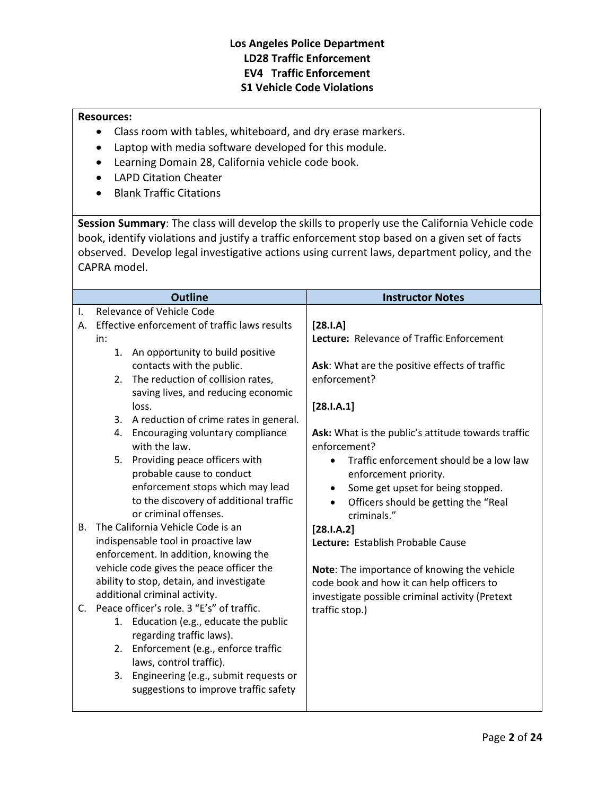#### **Resources:**

- Class room with tables, whiteboard, and dry erase markers.
- Laptop with media software developed for this module.
- [Learning Domain](file:///I:/LD%20book_28_V-6.1.pdf) 28, California vehicle code book.
- LAPD Citation Cheater
- Blank Traffic Citations

**Session Summary**: The class will develop the skills to properly use the California Vehicle code book, identify violations and justify a traffic enforcement stop based on a given set of facts observed. Develop legal investigative actions using current laws, department policy, and the CAPRA model.

|           | <b>Outline</b>                                                                                                                                                          | <b>Instructor Notes</b>                                                                                                                                                   |  |
|-----------|-------------------------------------------------------------------------------------------------------------------------------------------------------------------------|---------------------------------------------------------------------------------------------------------------------------------------------------------------------------|--|
| I.        | Relevance of Vehicle Code                                                                                                                                               |                                                                                                                                                                           |  |
| А.        | Effective enforcement of traffic laws results                                                                                                                           | $[28.1.A]$                                                                                                                                                                |  |
|           | in:                                                                                                                                                                     | Lecture: Relevance of Traffic Enforcement                                                                                                                                 |  |
|           | 1.<br>An opportunity to build positive                                                                                                                                  |                                                                                                                                                                           |  |
|           | contacts with the public.                                                                                                                                               | Ask: What are the positive effects of traffic                                                                                                                             |  |
|           | The reduction of collision rates,<br>2.                                                                                                                                 | enforcement?                                                                                                                                                              |  |
|           | saving lives, and reducing economic                                                                                                                                     |                                                                                                                                                                           |  |
|           | loss.                                                                                                                                                                   | [28.1.A.1]                                                                                                                                                                |  |
|           | 3. A reduction of crime rates in general.                                                                                                                               |                                                                                                                                                                           |  |
|           | Encouraging voluntary compliance<br>4.<br>with the law.                                                                                                                 | Ask: What is the public's attitude towards traffic<br>enforcement?                                                                                                        |  |
|           | Providing peace officers with<br>5.<br>probable cause to conduct<br>enforcement stops which may lead<br>to the discovery of additional traffic<br>or criminal offenses. | Traffic enforcement should be a low law<br>$\bullet$<br>enforcement priority.<br>Some get upset for being stopped.<br>Officers should be getting the "Real<br>criminals." |  |
| <b>B.</b> | The California Vehicle Code is an                                                                                                                                       | [28.1.A.2]                                                                                                                                                                |  |
|           | indispensable tool in proactive law                                                                                                                                     | Lecture: Establish Probable Cause                                                                                                                                         |  |
|           | enforcement. In addition, knowing the                                                                                                                                   |                                                                                                                                                                           |  |
|           | vehicle code gives the peace officer the                                                                                                                                | Note: The importance of knowing the vehicle                                                                                                                               |  |
|           | ability to stop, detain, and investigate                                                                                                                                | code book and how it can help officers to                                                                                                                                 |  |
|           | additional criminal activity.                                                                                                                                           | investigate possible criminal activity (Pretext                                                                                                                           |  |
| C.        | Peace officer's role, 3 "E's" of traffic.                                                                                                                               | traffic stop.)                                                                                                                                                            |  |
|           | 1. Education (e.g., educate the public                                                                                                                                  |                                                                                                                                                                           |  |
|           | regarding traffic laws).<br>Enforcement (e.g., enforce traffic<br>2.<br>laws, control traffic).                                                                         |                                                                                                                                                                           |  |
|           | Engineering (e.g., submit requests or<br>3.<br>suggestions to improve traffic safety                                                                                    |                                                                                                                                                                           |  |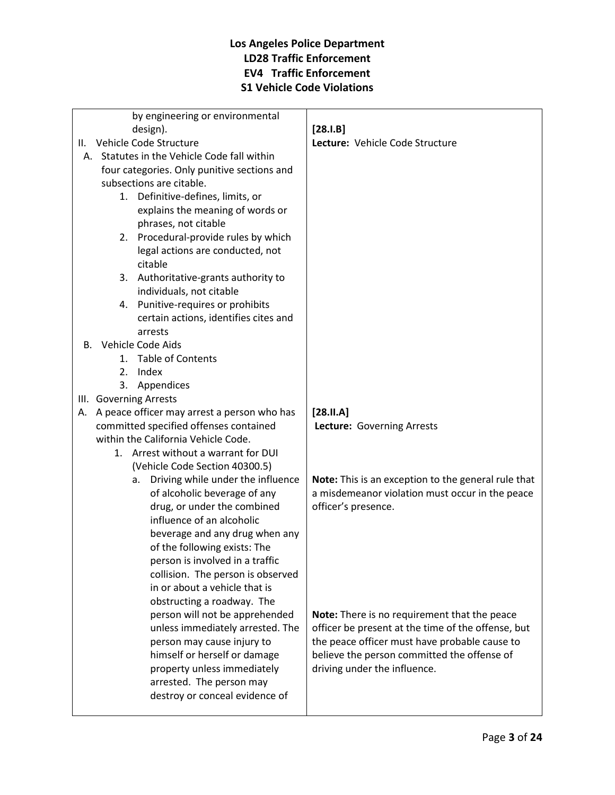| by engineering or environmental                                         |                                                                                                        |
|-------------------------------------------------------------------------|--------------------------------------------------------------------------------------------------------|
| design).                                                                | $[28.I.B]$                                                                                             |
| Vehicle Code Structure<br>Ш.                                            | Lecture: Vehicle Code Structure                                                                        |
| A. Statutes in the Vehicle Code fall within                             |                                                                                                        |
| four categories. Only punitive sections and<br>subsections are citable. |                                                                                                        |
| 1. Definitive-defines, limits, or                                       |                                                                                                        |
| explains the meaning of words or                                        |                                                                                                        |
| phrases, not citable                                                    |                                                                                                        |
| 2. Procedural-provide rules by which                                    |                                                                                                        |
| legal actions are conducted, not                                        |                                                                                                        |
| citable                                                                 |                                                                                                        |
| 3. Authoritative-grants authority to                                    |                                                                                                        |
| individuals, not citable                                                |                                                                                                        |
| 4. Punitive-requires or prohibits                                       |                                                                                                        |
| certain actions, identifies cites and                                   |                                                                                                        |
| arrests                                                                 |                                                                                                        |
| B. Vehicle Code Aids                                                    |                                                                                                        |
| 1. Table of Contents                                                    |                                                                                                        |
| Index<br>2.                                                             |                                                                                                        |
| Appendices<br>3.                                                        |                                                                                                        |
| III. Governing Arrests                                                  |                                                                                                        |
| A peace officer may arrest a person who has<br>А.                       | $[28.11.A]$                                                                                            |
| committed specified offenses contained                                  | Lecture: Governing Arrests                                                                             |
| within the California Vehicle Code.                                     |                                                                                                        |
| 1. Arrest without a warrant for DUI                                     |                                                                                                        |
| (Vehicle Code Section 40300.5)                                          |                                                                                                        |
| Driving while under the influence<br>а.<br>of alcoholic beverage of any | Note: This is an exception to the general rule that<br>a misdemeanor violation must occur in the peace |
| drug, or under the combined                                             | officer's presence.                                                                                    |
| influence of an alcoholic                                               |                                                                                                        |
| beverage and any drug when any                                          |                                                                                                        |
| of the following exists: The                                            |                                                                                                        |
| person is involved in a traffic                                         |                                                                                                        |
| collision. The person is observed                                       |                                                                                                        |
| in or about a vehicle that is                                           |                                                                                                        |
| obstructing a roadway. The                                              |                                                                                                        |
| person will not be apprehended                                          | Note: There is no requirement that the peace                                                           |
| unless immediately arrested. The                                        | officer be present at the time of the offense, but                                                     |
| person may cause injury to                                              | the peace officer must have probable cause to                                                          |
| himself or herself or damage                                            | believe the person committed the offense of                                                            |
| property unless immediately                                             | driving under the influence.                                                                           |
| arrested. The person may                                                |                                                                                                        |
| destroy or conceal evidence of                                          |                                                                                                        |
|                                                                         |                                                                                                        |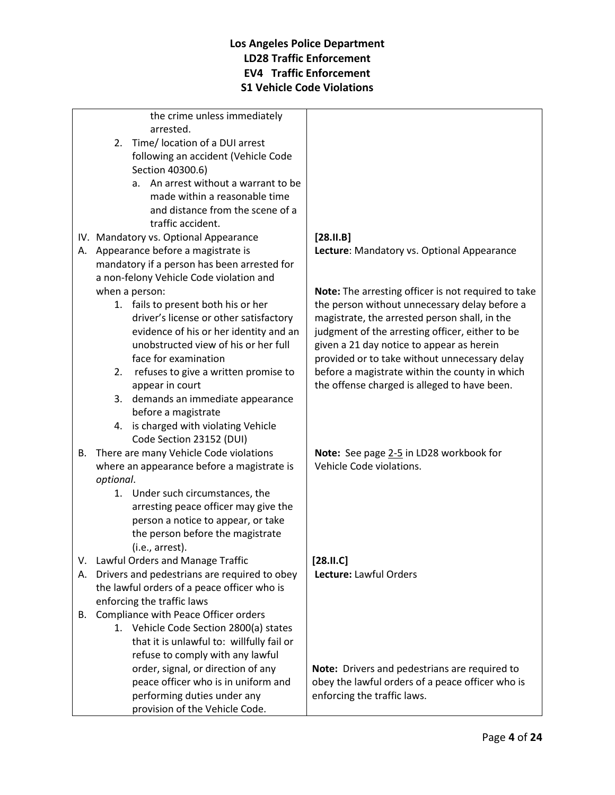the crime unless immediately arrested.

- 2. Time/ location of a DUI arrest following an accident (Vehicle Code Section 40300.6)
	- a. An arrest without a warrant to be made within a reasonable time and distance from the scene of a traffic accident.
- IV. Mandatory vs. Optional Appearance
- A. Appearance before a magistrate is mandatory if a person has been arrested for a non-felony Vehicle Code violation and when a person:
	- 1. fails to present both his or her driver's license or other satisfactory evidence of his or her identity and an unobstructed view of his or her full face for examination
	- 2. refuses to give a written promise to appear in court
	- 3. demands an immediate appearance before a magistrate
	- 4. is charged with violating Vehicle Code Section 23152 (DUI)
- B. There are many Vehicle Code violations where an appearance before a magistrate is *optional*.
	- 1. Under such circumstances, the arresting peace officer may give the person a notice to appear, or take the person before the magistrate (i.e., arrest).
- V. Lawful Orders and Manage Traffic
- A. Drivers and pedestrians are required to obey the lawful orders of a peace officer who is enforcing the traffic laws
- B. Compliance with Peace Officer orders
	- 1. Vehicle Code Section 2800(a) states that it is unlawful to: willfully fail or refuse to comply with any lawful order, signal, or direction of any peace officer who is in uniform and performing duties under any provision of the Vehicle Code.

### **[28.II.B] Lecture**: Mandatory vs. Optional Appearance

**Note:** The arresting officer is not required to take the person without unnecessary delay before a magistrate, the arrested person shall, in the judgment of the arresting officer, either to be given a 21 day notice to appear as herein provided or to take without unnecessary delay before a magistrate within the county in which the offense charged is alleged to have been.

**Note:** See page 2-5 in LD28 workbook for Vehicle Code violations.

**[28.II.C] Lecture:** Lawful Orders

**Note:** Drivers and pedestrians are required to obey the lawful orders of a peace officer who is enforcing the traffic laws.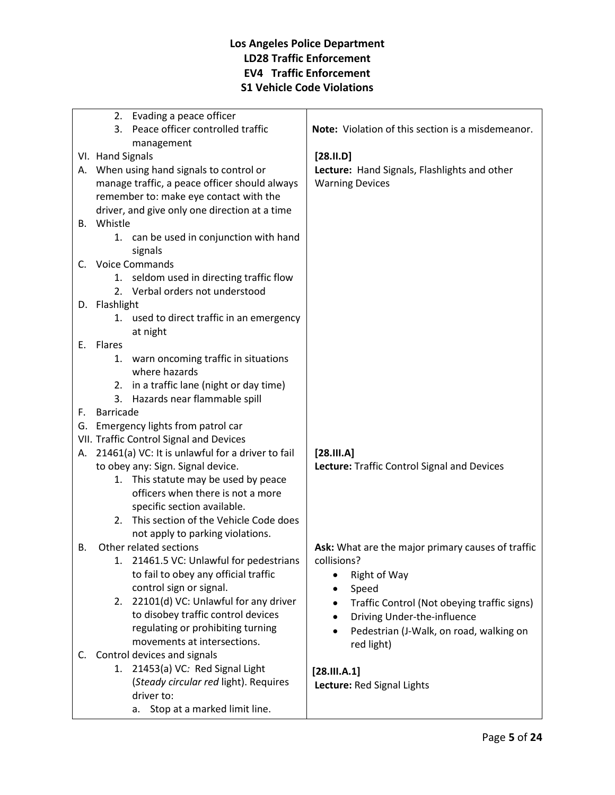|    | 2. Evading a peace officer                                       |                                                   |
|----|------------------------------------------------------------------|---------------------------------------------------|
|    | 3. Peace officer controlled traffic                              | Note: Violation of this section is a misdemeanor. |
|    | management                                                       |                                                   |
|    | VI. Hand Signals                                                 | $[28.11.D]$                                       |
|    | A. When using hand signals to control or                         | Lecture: Hand Signals, Flashlights and other      |
|    | manage traffic, a peace officer should always                    | <b>Warning Devices</b>                            |
|    | remember to: make eye contact with the                           |                                                   |
|    | driver, and give only one direction at a time                    |                                                   |
|    | B. Whistle                                                       |                                                   |
|    | 1. can be used in conjunction with hand                          |                                                   |
|    | signals                                                          |                                                   |
| C. | <b>Voice Commands</b>                                            |                                                   |
|    | 1. seldom used in directing traffic flow                         |                                                   |
|    | 2. Verbal orders not understood                                  |                                                   |
|    | D. Flashlight                                                    |                                                   |
|    | 1. used to direct traffic in an emergency                        |                                                   |
|    | at night                                                         |                                                   |
|    | E. Flares                                                        |                                                   |
|    | warn oncoming traffic in situations<br>1.                        |                                                   |
|    | where hazards                                                    |                                                   |
|    | 2. in a traffic lane (night or day time)                         |                                                   |
|    | Hazards near flammable spill<br>3.                               |                                                   |
| F. | Barricade                                                        |                                                   |
|    | G. Emergency lights from patrol car                              |                                                   |
|    | VII. Traffic Control Signal and Devices                          |                                                   |
| А. | 21461(a) VC: It is unlawful for a driver to fail                 | [28.111.A]                                        |
|    | to obey any: Sign. Signal device.                                | Lecture: Traffic Control Signal and Devices       |
|    | 1. This statute may be used by peace                             |                                                   |
|    | officers when there is not a more                                |                                                   |
|    | specific section available.                                      |                                                   |
|    | 2. This section of the Vehicle Code does                         |                                                   |
|    | not apply to parking violations.                                 |                                                   |
| В. | Other related sections                                           | Ask: What are the major primary causes of traffic |
|    | 21461.5 VC: Unlawful for pedestrians                             | collisions?                                       |
|    | to fail to obey any official traffic                             | Right of Way                                      |
|    | control sign or signal.                                          | Speed                                             |
|    | 2. 22101(d) VC: Unlawful for any driver                          | Traffic Control (Not obeying traffic signs)       |
|    | to disobey traffic control devices                               | Driving Under-the-influence                       |
|    | regulating or prohibiting turning<br>movements at intersections. | Pedestrian (J-Walk, on road, walking on           |
|    | C. Control devices and signals                                   | red light)                                        |
|    |                                                                  |                                                   |
|    |                                                                  |                                                   |
|    | 1. 21453(a) VC: Red Signal Light                                 | [28.111. A.1]                                     |
|    | (Steady circular red light). Requires<br>driver to:              | Lecture: Red Signal Lights                        |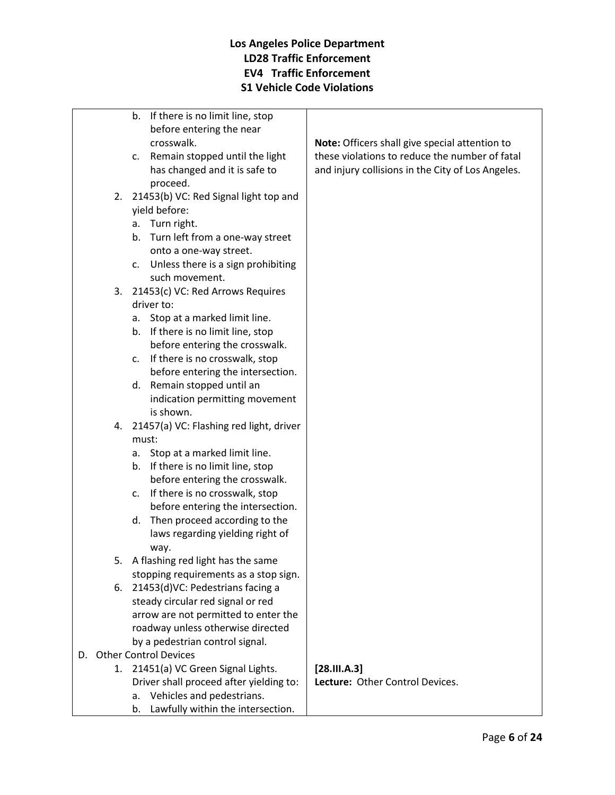|    |    | b. If there is no limit line, stop      |                                                   |
|----|----|-----------------------------------------|---------------------------------------------------|
|    |    | before entering the near                |                                                   |
|    |    | crosswalk.                              | Note: Officers shall give special attention to    |
|    |    | c. Remain stopped until the light       | these violations to reduce the number of fatal    |
|    |    | has changed and it is safe to           | and injury collisions in the City of Los Angeles. |
|    |    | proceed.                                |                                                   |
|    | 2. | 21453(b) VC: Red Signal light top and   |                                                   |
|    |    | yield before:                           |                                                   |
|    |    | a. Turn right.                          |                                                   |
|    |    | b. Turn left from a one-way street      |                                                   |
|    |    | onto a one-way street.                  |                                                   |
|    |    | c. Unless there is a sign prohibiting   |                                                   |
|    |    | such movement.                          |                                                   |
|    | 3. | 21453(c) VC: Red Arrows Requires        |                                                   |
|    |    | driver to:                              |                                                   |
|    |    | Stop at a marked limit line.<br>а.      |                                                   |
|    |    | b. If there is no limit line, stop      |                                                   |
|    |    | before entering the crosswalk.          |                                                   |
|    |    | If there is no crosswalk, stop<br>c.    |                                                   |
|    |    | before entering the intersection.       |                                                   |
|    |    | Remain stopped until an<br>d.           |                                                   |
|    |    | indication permitting movement          |                                                   |
|    |    | is shown.                               |                                                   |
|    | 4. | 21457(a) VC: Flashing red light, driver |                                                   |
|    |    | must:                                   |                                                   |
|    |    | Stop at a marked limit line.<br>а.      |                                                   |
|    |    | b. If there is no limit line, stop      |                                                   |
|    |    | before entering the crosswalk.          |                                                   |
|    |    | If there is no crosswalk, stop<br>c.    |                                                   |
|    |    | before entering the intersection.       |                                                   |
|    |    | Then proceed according to the<br>d.     |                                                   |
|    |    | laws regarding yielding right of        |                                                   |
|    |    | way.                                    |                                                   |
|    | 5. | A flashing red light has the same       |                                                   |
|    |    | stopping requirements as a stop sign.   |                                                   |
|    | 6. | 21453(d)VC: Pedestrians facing a        |                                                   |
|    |    | steady circular red signal or red       |                                                   |
|    |    | arrow are not permitted to enter the    |                                                   |
|    |    | roadway unless otherwise directed       |                                                   |
|    |    | by a pedestrian control signal.         |                                                   |
| D. |    | <b>Other Control Devices</b>            |                                                   |
|    | 1. | 21451(a) VC Green Signal Lights.        | [28.111. A.3]                                     |
|    |    | Driver shall proceed after yielding to: | Lecture: Other Control Devices.                   |
|    |    | Vehicles and pedestrians.<br>а.         |                                                   |
|    |    |                                         |                                                   |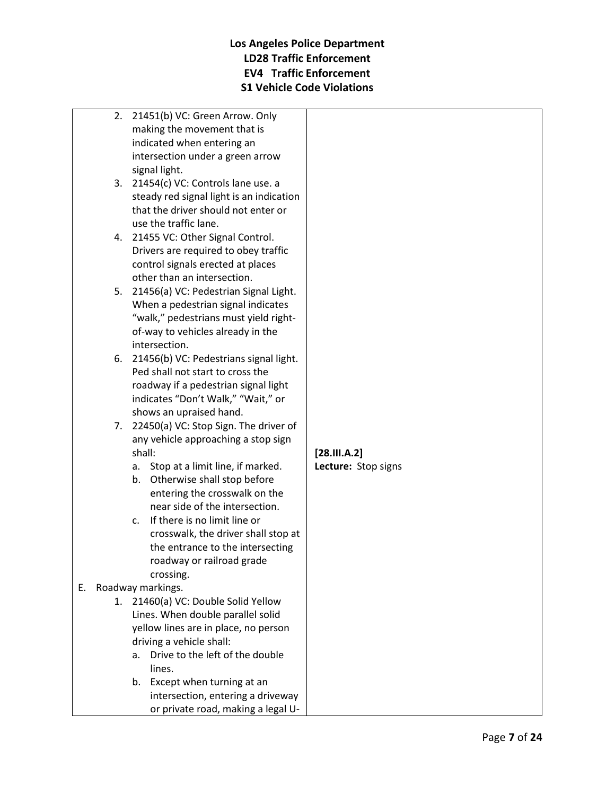- 2. 21451(b) VC: Green Arrow. Only making the movement that is indicated when entering an intersection under a green arrow signal light.
- 3. 21454(c) VC: Controls lane use. a steady red signal light is an indication that the driver should not enter or use the traffic lane.
- 4. 21455 VC: Other Signal Control. Drivers are required to obey traffic control signals erected at places other than an intersection.
- 5. 21456(a) VC: Pedestrian Signal Light. When a pedestrian signal indicates "walk," pedestrians must yield rightof-way to vehicles already in the intersection.
- 6. 21456(b) VC: Pedestrians signal light. Ped shall not start to cross the roadway if a pedestrian signal light indicates "Don't Walk," "Wait," or shows an upraised hand.
- 7. 22450(a) VC: Stop Sign. The driver of any vehicle approaching a stop sign shall:
	- a. Stop at a limit line, if marked.
	- b. Otherwise shall stop before entering the crosswalk on the near side of the intersection.
	- c. If there is no limit line or crosswalk, the driver shall stop at the entrance to the intersecting roadway or railroad grade crossing.

# E. Roadway markings.

- 1. 21460(a) VC: Double Solid Yellow Lines. When double parallel solid yellow lines are in place, no person driving a vehicle shall:
	- a. Drive to the left of the double lines.
	- b. Except when turning at an intersection, entering a driveway or private road, making a legal U-

**[28.III.A.2] Lecture:** Stop signs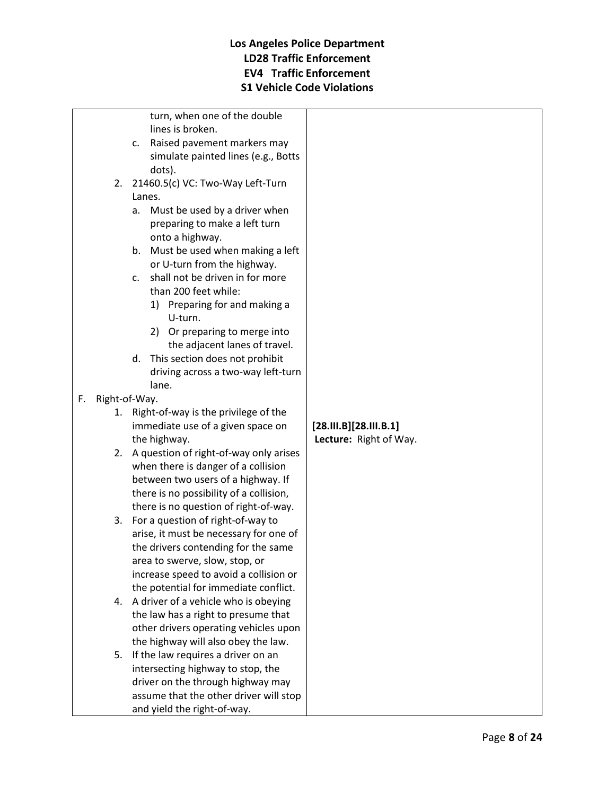|    |                                            | turn, when one of the double              |                        |
|----|--------------------------------------------|-------------------------------------------|------------------------|
|    |                                            | lines is broken.                          |                        |
|    |                                            | Raised pavement markers may<br>c.         |                        |
|    |                                            | simulate painted lines (e.g., Botts       |                        |
|    |                                            | dots).                                    |                        |
|    | 2.                                         | 21460.5(c) VC: Two-Way Left-Turn          |                        |
|    |                                            | Lanes.                                    |                        |
|    |                                            | a. Must be used by a driver when          |                        |
|    |                                            | preparing to make a left turn             |                        |
|    |                                            | onto a highway.                           |                        |
|    |                                            | Must be used when making a left<br>b.     |                        |
|    |                                            | or U-turn from the highway.               |                        |
|    |                                            | shall not be driven in for more<br>C.     |                        |
|    |                                            | than 200 feet while:                      |                        |
|    |                                            | 1) Preparing for and making a             |                        |
|    |                                            | U-turn.                                   |                        |
|    |                                            | 2) Or preparing to merge into             |                        |
|    |                                            | the adjacent lanes of travel.             |                        |
|    |                                            | This section does not prohibit<br>d.      |                        |
|    |                                            | driving across a two-way left-turn        |                        |
|    |                                            | lane.                                     |                        |
| F. | Right-of-Way.                              |                                           |                        |
|    | Right-of-way is the privilege of the<br>1. |                                           |                        |
|    |                                            | immediate use of a given space on         | [28.11.8][28.11.8.1]   |
|    |                                            | the highway.                              | Lecture: Right of Way. |
|    |                                            | 2. A question of right-of-way only arises |                        |
|    | when there is danger of a collision        |                                           |                        |
|    | between two users of a highway. If         |                                           |                        |
|    |                                            | there is no possibility of a collision,   |                        |
|    |                                            | there is no question of right-of-way.     |                        |
|    |                                            | 3. For a question of right-of-way to      |                        |
|    |                                            | arise, it must be necessary for one of    |                        |
|    |                                            | the drivers contending for the same       |                        |
|    |                                            | area to swerve, slow, stop, or            |                        |
|    |                                            | increase speed to avoid a collision or    |                        |
|    |                                            | the potential for immediate conflict.     |                        |
|    |                                            | 4. A driver of a vehicle who is obeying   |                        |
|    |                                            | the law has a right to presume that       |                        |
|    |                                            | other drivers operating vehicles upon     |                        |
|    |                                            | the highway will also obey the law.       |                        |
|    | 5.                                         | If the law requires a driver on an        |                        |
|    |                                            | intersecting highway to stop, the         |                        |
|    |                                            | driver on the through highway may         |                        |
|    |                                            | assume that the other driver will stop    |                        |
|    |                                            | and yield the right-of-way.               |                        |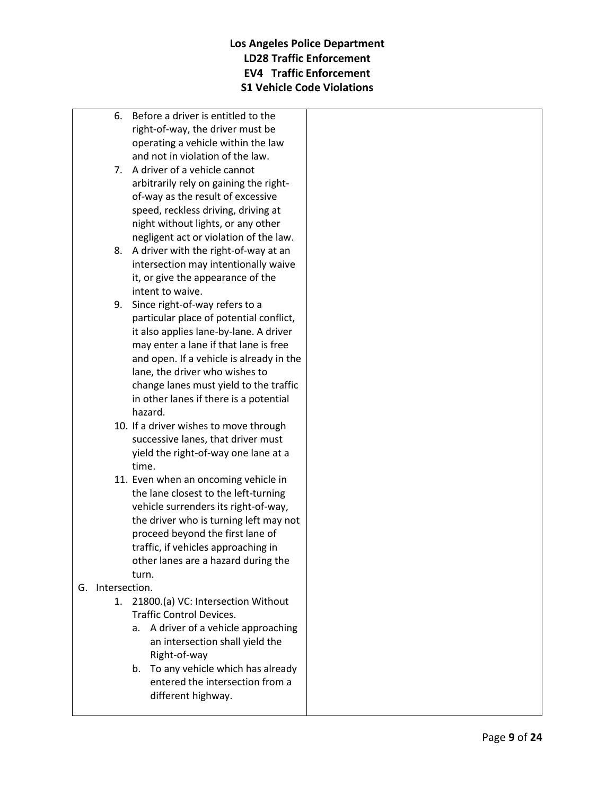- 6. Before a driver is entitled to the right-of-way, the driver must be operating a vehicle within the law and not in violation of the law.
- 7. A driver of a vehicle cannot arbitrarily rely on gaining the rightof-way as the result of excessive speed, reckless driving, driving at night without lights, or any other negligent act or violation of the law.
- 8. A driver with the right-of-way at an intersection may intentionally waive it, or give the appearance of the intent to waive.
- 9. Since right-of-way refers to a particular place of potential conflict, it also applies lane-by-lane. A driver may enter a lane if that lane is free and open. If a vehicle is already in the lane, the driver who wishes to change lanes must yield to the traffic in other lanes if there is a potential hazard.
- 10. If a driver wishes to move through successive lanes, that driver must yield the right-of-way one lane at a time.
- 11. Even when an oncoming vehicle in the lane closest to the left-turning vehicle surrenders its right-of-way, the driver who is turning left may not proceed beyond the first lane of traffic, if vehicles approaching in other lanes are a hazard during the turn.
- G. Intersection.
	- 1. 21800.(a) VC: Intersection Without Traffic Control Devices.
		- a. A driver of a vehicle approaching an intersection shall yield the Right-of-way
		- b. To any vehicle which has already entered the intersection from a different highway.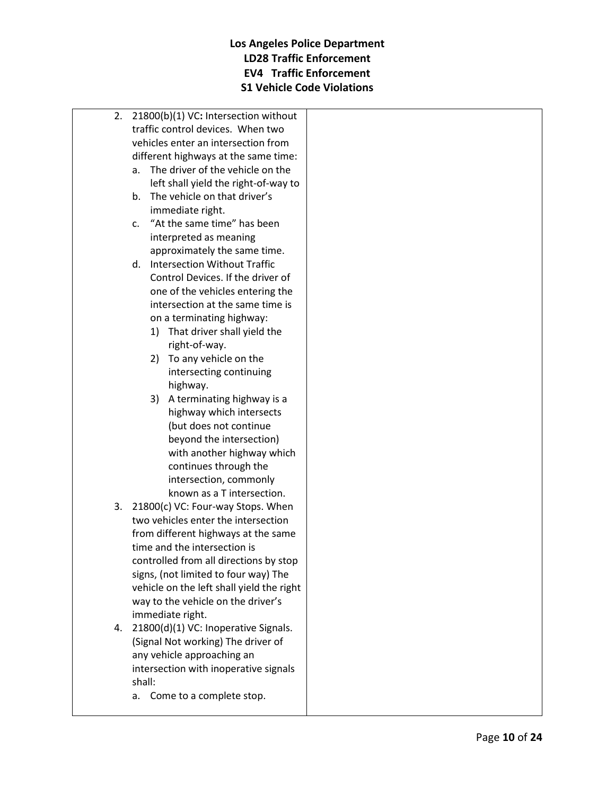| 2.                                     | 21800(b)(1) VC: Intersection without      |  |  |  |  |
|----------------------------------------|-------------------------------------------|--|--|--|--|
|                                        | traffic control devices. When two         |  |  |  |  |
|                                        | vehicles enter an intersection from       |  |  |  |  |
|                                        | different highways at the same time:      |  |  |  |  |
| The driver of the vehicle on the<br>а. |                                           |  |  |  |  |
|                                        | left shall yield the right-of-way to      |  |  |  |  |
|                                        | The vehicle on that driver's<br>b.        |  |  |  |  |
|                                        | immediate right.                          |  |  |  |  |
|                                        | "At the same time" has been<br>C.         |  |  |  |  |
|                                        | interpreted as meaning                    |  |  |  |  |
|                                        | approximately the same time.              |  |  |  |  |
|                                        | <b>Intersection Without Traffic</b><br>d. |  |  |  |  |
|                                        | Control Devices. If the driver of         |  |  |  |  |
|                                        | one of the vehicles entering the          |  |  |  |  |
|                                        | intersection at the same time is          |  |  |  |  |
|                                        | on a terminating highway:                 |  |  |  |  |
|                                        | 1) That driver shall yield the            |  |  |  |  |
|                                        | right-of-way.                             |  |  |  |  |
|                                        | 2) To any vehicle on the                  |  |  |  |  |
|                                        | intersecting continuing                   |  |  |  |  |
|                                        | highway.                                  |  |  |  |  |
|                                        | A terminating highway is a<br>3)          |  |  |  |  |
|                                        | highway which intersects                  |  |  |  |  |
|                                        | (but does not continue                    |  |  |  |  |
|                                        | beyond the intersection)                  |  |  |  |  |
|                                        | with another highway which                |  |  |  |  |
|                                        | continues through the                     |  |  |  |  |
|                                        | intersection, commonly                    |  |  |  |  |
|                                        | known as a T intersection.                |  |  |  |  |
| 3.                                     | 21800(c) VC: Four-way Stops. When         |  |  |  |  |
|                                        | two vehicles enter the intersection       |  |  |  |  |
|                                        | from different highways at the same       |  |  |  |  |
|                                        | time and the intersection is              |  |  |  |  |
|                                        | controlled from all directions by stop    |  |  |  |  |
|                                        | signs, (not limited to four way) The      |  |  |  |  |
|                                        | vehicle on the left shall yield the right |  |  |  |  |
|                                        | way to the vehicle on the driver's        |  |  |  |  |
|                                        | immediate right.                          |  |  |  |  |
| 4.                                     | 21800(d)(1) VC: Inoperative Signals.      |  |  |  |  |
|                                        | (Signal Not working) The driver of        |  |  |  |  |
|                                        | any vehicle approaching an                |  |  |  |  |
|                                        | intersection with inoperative signals     |  |  |  |  |
|                                        | shall:                                    |  |  |  |  |

a. Come to a complete stop.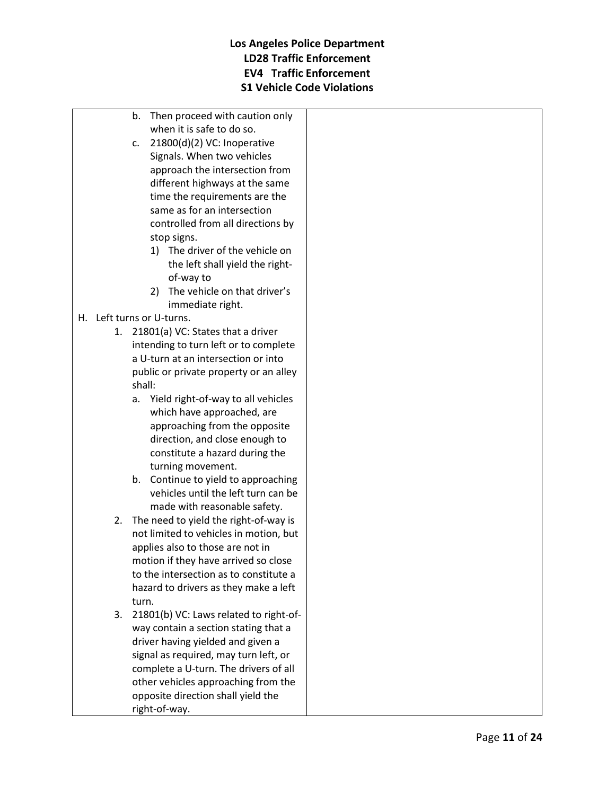- b. Then proceed with caution only when it is safe to do so.
- c. 21800(d)(2) VC: Inoperative Signals. When two vehicles approach the intersection from different highways at the same time the requirements are the same as for an intersection controlled from all directions by stop signs.
	- 1) The driver of the vehicle on the left shall yield the rightof-way to
	- 2) The vehicle on that driver's immediate right.

## H. Left turns or U-turns.

- 1. 21801(a) VC: States that a driver intending to turn left or to complete a U-turn at an intersection or into public or private property or an alley shall:
	- a. Yield right-of-way to all vehicles which have approached, are approaching from the opposite direction, and close enough to constitute a hazard during the turning movement.
	- b. Continue to yield to approaching vehicles until the left turn can be made with reasonable safety.
- 2. The need to yield the right-of-way is not limited to vehicles in motion, but applies also to those are not in motion if they have arrived so close to the intersection as to constitute a hazard to drivers as they make a left turn.
- 3. 21801(b) VC: Laws related to right-ofway contain a section stating that a driver having yielded and given a signal as required, may turn left, or complete a U-turn. The drivers of all other vehicles approaching from the opposite direction shall yield the right-of-way.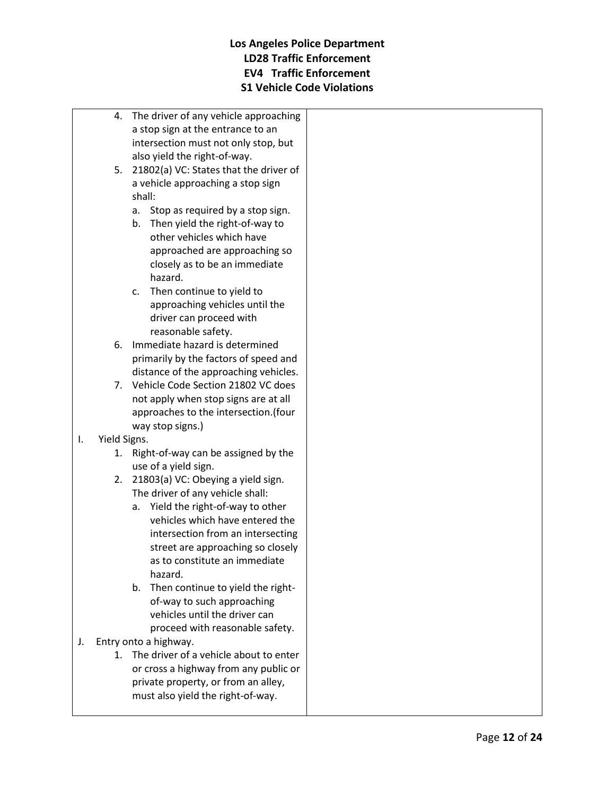- 4. The driver of any vehicle approaching a stop sign at the entrance to an intersection must not only stop, but also yield the right-of-way.
- 5. 21802(a) VC: States that the driver of a vehicle approaching a stop sign shall:
	- a. Stop as required by a stop sign.
	- b. Then yield the right-of-way to other vehicles which have approached are approaching so closely as to be an immediate hazard.
	- c. Then continue to yield to approaching vehicles until the driver can proceed with reasonable safety.
- 6. Immediate hazard is determined primarily by the factors of speed and distance of the approaching vehicles.
- 7. Vehicle Code Section 21802 VC does not apply when stop signs are at all approaches to the intersection.(four way stop signs.)
- I. Yield Signs.
	- 1. Right-of-way can be assigned by the use of a yield sign.
	- 2. 21803(a) VC: Obeying a yield sign. The driver of any vehicle shall:
		- a. Yield the right-of-way to other vehicles which have entered the intersection from an intersecting street are approaching so closely as to constitute an immediate hazard.
		- b. Then continue to yield the rightof-way to such approaching vehicles until the driver can proceed with reasonable safety.
- J. Entry onto a highway.
	- 1. The driver of a vehicle about to enter or cross a highway from any public or private property, or from an alley, must also yield the right-of-way.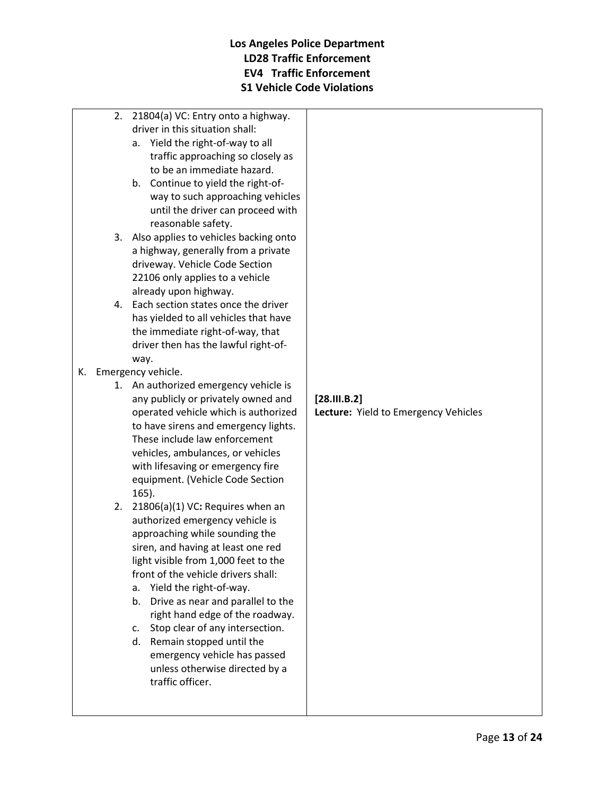- 2. 21804(a) VC: Entry onto a highway. driver in this situation shall:
	- a. Yield the right-of-way to all traffic approaching so closely as to be an immediate hazard.
	- b. Continue to yield the right-ofway to such approaching vehicles until the driver can proceed with reasonable safety.
- 3. Also applies to vehicles backing onto a highway, generally from a private driveway. Vehicle Code Section 22106 only applies to a vehicle already upon highway.
- 4. Each section states once the driver has yielded to all vehicles that have the immediate right-of-way, that driver then has the lawful right-ofway.
- K. Emergency vehicle.
	- 1. An authorized emergency vehicle is any publicly or privately owned and operated vehicle which is authorized to have sirens and emergency lights. These include law enforcement vehicles, ambulances, or vehicles with lifesaving or emergency fire equipment. (Vehicle Code Section 165).
	- 2. 21806(a)(1) VC**:** Requires when an authorized emergency vehicle is approaching while sounding the siren, and having at least one red light visible from 1,000 feet to the front of the vehicle drivers shall:
		- a. Yield the right-of-way.
		- b. Drive as near and parallel to the right hand edge of the roadway.
		- c. Stop clear of any intersection.
		- d. Remain stopped until the emergency vehicle has passed unless otherwise directed by a traffic officer.

#### **[28.III.B.2] Lecture:** Yield to Emergency Vehicles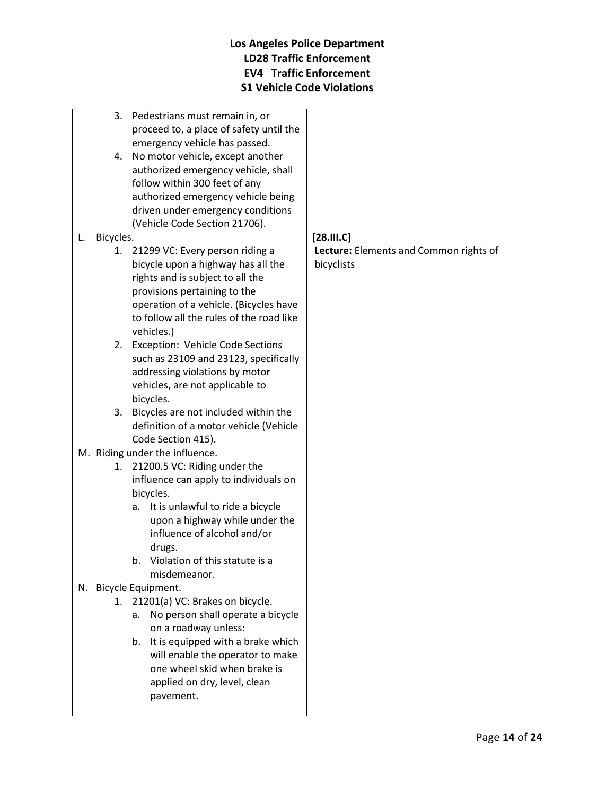- 3. Pedestrians must remain in, or proceed to, a place of safety until the emergency vehicle has passed.
- 4. No motor vehicle, except another authorized emergency vehicle, shall follow within 300 feet of any authorized emergency vehicle being driven under emergency conditions (Vehicle Code Section 21706).

#### L. Bicycles.

- 1. 21299 VC: Every person riding a bicycle upon a highway has all the rights and is subject to all the provisions pertaining to the operation of a vehicle. (Bicycles have to follow all the rules of the road like vehicles.)
- 2. Exception: Vehicle Code Sections such as 23109 and 23123, specifically addressing violations by motor vehicles, are not applicable to bicycles.
- 3. Bicycles are not included within the definition of a motor vehicle (Vehicle Code Section 415).
- M. Riding under the influence.
	- 1. 21200.5 VC: Riding under the influence can apply to individuals on bicycles.
		- a. It is unlawful to ride a bicycle upon a highway while under the influence of alcohol and/or drugs.
		- b. Violation of this statute is a misdemeanor.

#### N. Bicycle Equipment.

- 1. 21201(a) VC: Brakes on bicycle.
	- a. No person shall operate a bicycle on a roadway unless:
	- b. It is equipped with a brake which will enable the operator to make one wheel skid when brake is applied on dry, level, clean pavement.

## **[28.III.C]**

**Lecture:** Elements and Common rights of bicyclists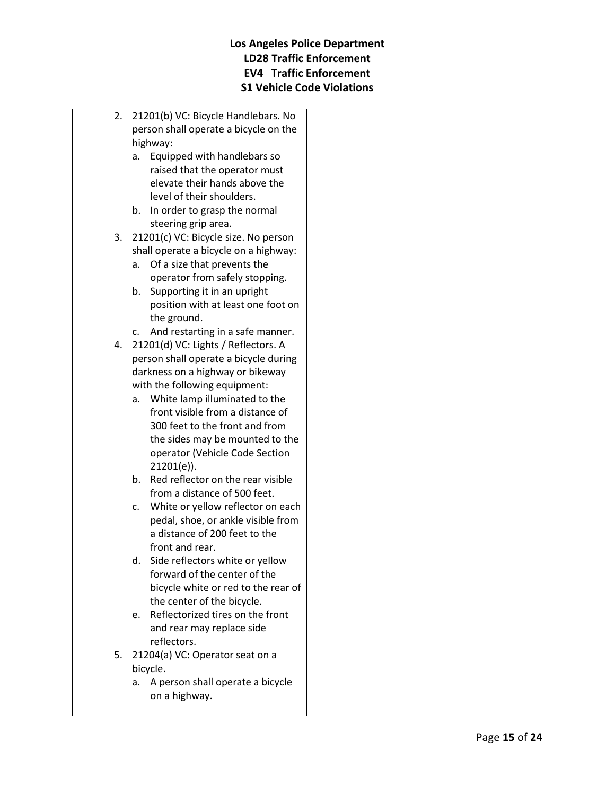- 2. 21201(b) VC: Bicycle Handlebars. No person shall operate a bicycle on the highway:
	- a. Equipped with handlebars so raised that the operator must elevate their hands above the level of their shoulders.
	- b. In order to grasp the normal steering grip area.
- 3. 21201(c) VC: Bicycle size. No person shall operate a bicycle on a highway:
	- a. Of a size that prevents the operator from safely stopping.
	- b. Supporting it in an upright position with at least one foot on the ground.
	- c. And restarting in a safe manner.
- 4. 21201(d) VC: Lights / Reflectors. A person shall operate a bicycle during darkness on a highway or bikeway with the following equipment:
	- a. White lamp illuminated to the front visible from a distance of 300 feet to the front and from the sides may be mounted to the operator (Vehicle Code Section 21201(e)).
	- b. Red reflector on the rear visible from a distance of 500 feet.
	- c. White or yellow reflector on each pedal, shoe, or ankle visible from a distance of 200 feet to the front and rear.
	- d. Side reflectors white or yellow forward of the center of the bicycle white or red to the rear of the center of the bicycle.
	- e. Reflectorized tires on the front and rear may replace side reflectors.
- 5. 21204(a) VC**:** Operator seat on a bicycle.
	- a. A person shall operate a bicycle on a highway.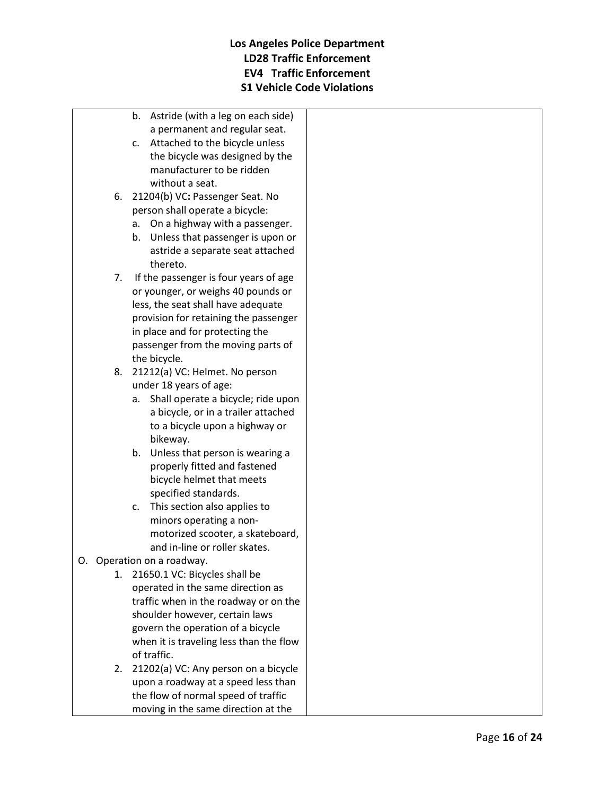- b. Astride (with a leg on each side) a permanent and regular seat.
- c. Attached to the bicycle unless the bicycle was designed by the manufacturer to be ridden without a seat.
- 6. 21204(b) VC**:** Passenger Seat. No person shall operate a bicycle:
	- a. On a highway with a passenger.
	- b. Unless that passenger is upon or astride a separate seat attached thereto.
- 7. If the passenger is four years of age or younger, or weighs 40 pounds or less, the seat shall have adequate provision for retaining the passenger in place and for protecting the passenger from the moving parts of the bicycle.
- 8. 21212(a) VC: Helmet. No person under 18 years of age:
	- a. Shall operate a bicycle; ride upon a bicycle, or in a trailer attached to a bicycle upon a highway or bikeway.
	- b. Unless that person is wearing a properly fitted and fastened bicycle helmet that meets specified standards.
	- c. This section also applies to minors operating a nonmotorized scooter, a skateboard, and in-line or roller skates.
- O. Operation on a roadway.
	- 1. 21650.1 VC: Bicycles shall be operated in the same direction as traffic when in the roadway or on the shoulder however, certain laws govern the operation of a bicycle when it is traveling less than the flow of traffic.
	- 2. 21202(a) VC: Any person on a bicycle upon a roadway at a speed less than the flow of normal speed of traffic moving in the same direction at the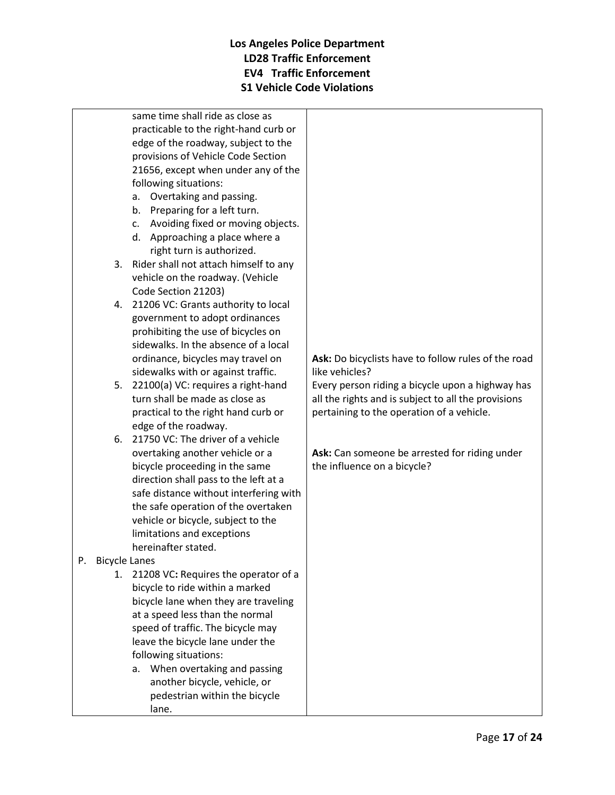same time shall ride as close as practicable to the right-hand curb or edge of the roadway, subject to the provisions of Vehicle Code Section 21656, except when under any of the following situations:

- a. Overtaking and passing.
- b. Preparing for a left turn.
- c. Avoiding fixed or moving objects.
- d. Approaching a place where a right turn is authorized.
- 3. Rider shall not attach himself to any vehicle on the roadway. (Vehicle Code Section 21203)
- 4. 21206 VC: Grants authority to local government to adopt ordinances prohibiting the use of bicycles on sidewalks. In the absence of a local ordinance, bicycles may travel on sidewalks with or against traffic.
- 5. 22100(a) VC: requires a right-hand turn shall be made as close as practical to the right hand curb or edge of the roadway.
- 6. 21750 VC: The driver of a vehicle overtaking another vehicle or a bicycle proceeding in the same direction shall pass to the left at a safe distance without interfering with the safe operation of the overtaken vehicle or bicycle, subject to the limitations and exceptions hereinafter stated.

#### P. Bicycle Lanes

- 1. 21208 VC**:** Requires the operator of a bicycle to ride within a marked bicycle lane when they are traveling at a speed less than the normal speed of traffic. The bicycle may leave the bicycle lane under the following situations:
	- a. When overtaking and passing another bicycle, vehicle, or pedestrian within the bicycle lane.

**Ask:** Do bicyclists have to follow rules of the road like vehicles?

Every person riding a bicycle upon a highway has all the rights and is subject to all the provisions pertaining to the operation of a vehicle.

**Ask:** Can someone be arrested for riding under the influence on a bicycle?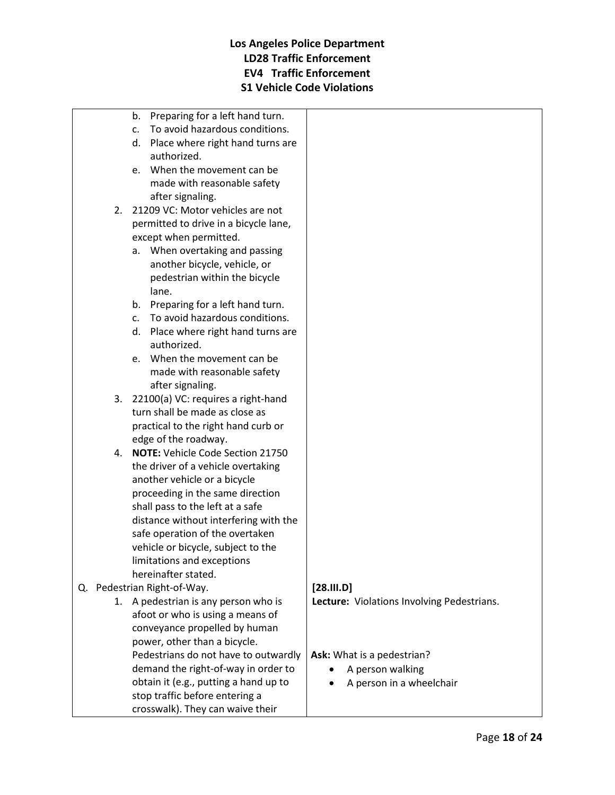- b. Preparing for a left hand turn.
- c. To avoid hazardous conditions.
- d. Place where right hand turns are authorized.
- e. When the movement can be made with reasonable safety after signaling.
- 2. 21209 VC: Motor vehicles are not permitted to drive in a bicycle lane, except when permitted.
	- a. When overtaking and passing another bicycle, vehicle, or pedestrian within the bicycle lane.
	- b. Preparing for a left hand turn.
	- c. To avoid hazardous conditions.
	- d. Place where right hand turns are authorized.
	- e. When the movement can be made with reasonable safety after signaling.
- 3. 22100(a) VC: requires a right-hand turn shall be made as close as practical to the right hand curb or edge of the roadway.
- 4. **NOTE:** Vehicle Code Section 21750 the driver of a vehicle overtaking another vehicle or a bicycle proceeding in the same direction shall pass to the left at a safe distance without interfering with the safe operation of the overtaken vehicle or bicycle, subject to the limitations and exceptions hereinafter stated.
- Q. Pedestrian Right-of-Way.
	- 1. A pedestrian is any person who is afoot or who is using a means of conveyance propelled by human power, other than a bicycle. Pedestrians do not have to outwardly demand the right-of-way in order to obtain it (e.g., putting a hand up to stop traffic before entering a crosswalk). They can waive their

#### **[28.III.D]**

**Lecture:** Violations Involving Pedestrians.

**Ask:** What is a pedestrian?

- A person walking
- A person in a wheelchair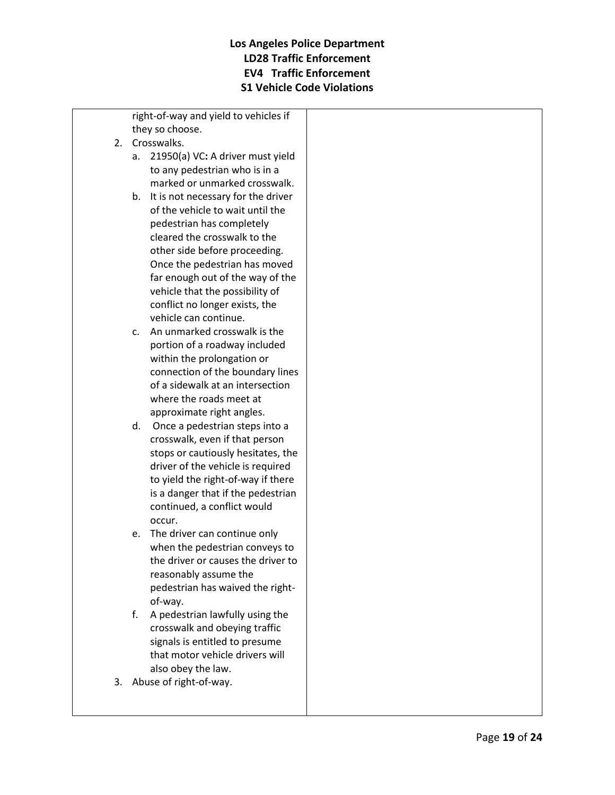right-of-way and yield to vehicles if they so choose.

- 2. Crosswalks.
	- a. 21950(a) VC**:** A driver must yield to any pedestrian who is in a marked or unmarked crosswalk.
	- b. It is not necessary for the driver of the vehicle to wait until the pedestrian has completely cleared the crosswalk to the other side before proceeding. Once the pedestrian has moved far enough out of the way of the vehicle that the possibility of conflict no longer exists, the vehicle can continue.
	- c. An unmarked crosswalk is the portion of a roadway included within the prolongation or connection of the boundary lines of a sidewalk at an intersection where the roads meet at approximate right angles.
	- d. Once a pedestrian steps into a crosswalk, even if that person stops or cautiously hesitates, the driver of the vehicle is required to yield the right-of-way if there is a danger that if the pedestrian continued, a conflict would occur.
	- e. The driver can continue only when the pedestrian conveys to the driver or causes the driver to reasonably assume the pedestrian has waived the rightof-way.
	- f. A pedestrian lawfully using the crosswalk and obeying traffic signals is entitled to presume that motor vehicle drivers will also obey the law.
- 3. Abuse of right-of-way.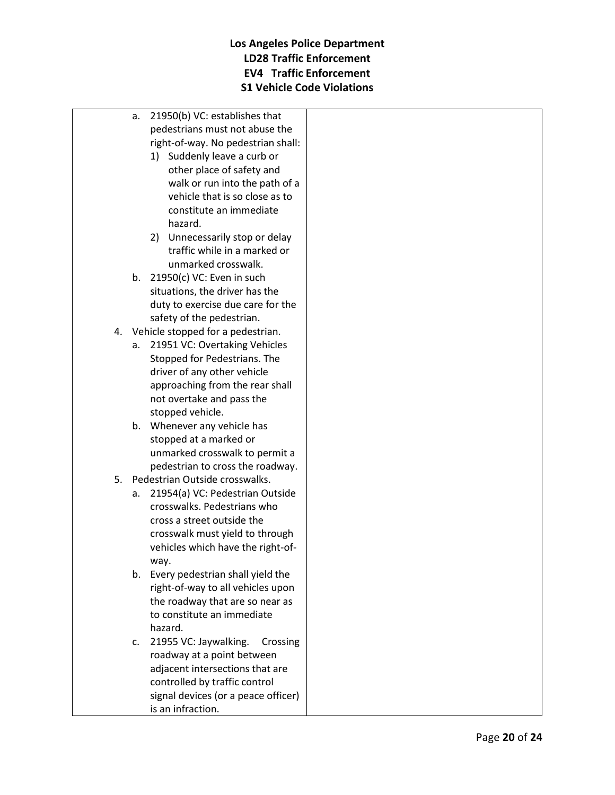- a. 21950(b) VC: establishes that pedestrians must not abuse the right-of-way. No pedestrian shall:
	- 1) Suddenly leave a curb or other place of safety and walk or run into the path of a vehicle that is so close as to constitute an immediate hazard.
	- 2) Unnecessarily stop or delay traffic while in a marked or unmarked crosswalk.
- b. 21950(c) VC: Even in such situations, the driver has the duty to exercise due care for the safety of the pedestrian.
- 4. Vehicle stopped for a pedestrian.
	- a. 21951 VC: Overtaking Vehicles Stopped for Pedestrians. The driver of any other vehicle approaching from the rear shall not overtake and pass the stopped vehicle.
	- b. Whenever any vehicle has stopped at a marked or unmarked crosswalk to permit a pedestrian to cross the roadway.
- 5. Pedestrian Outside crosswalks.
	- a. 21954(a) VC: Pedestrian Outside crosswalks. Pedestrians who cross a street outside the crosswalk must yield to through vehicles which have the right-ofway.
	- b. Every pedestrian shall yield the right-of-way to all vehicles upon the roadway that are so near as to constitute an immediate hazard.
	- c. 21955 VC: Jaywalking. Crossing roadway at a point between adjacent intersections that are controlled by traffic control signal devices (or a peace officer) is an infraction.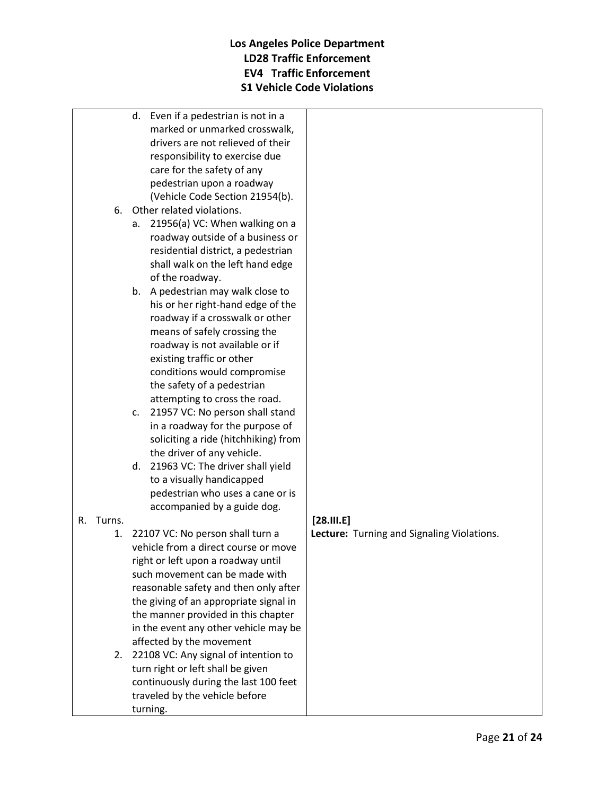- d. Even if a pedestrian is not in a marked or unmarked crosswalk, drivers are not relieved of their responsibility to exercise due care for the safety of any pedestrian upon a roadway (Vehicle Code Section 21954(b).
- 6. Other related violations.
	- a. 21956(a) VC: When walking on a roadway outside of a business or residential district, a pedestrian shall walk on the left hand edge of the roadway.
	- b. A pedestrian may walk close to his or her right-hand edge of the roadway if a crosswalk or other means of safely crossing the roadway is not available or if existing traffic or other conditions would compromise the safety of a pedestrian attempting to cross the road.
	- c. 21957 VC: No person shall stand in a roadway for the purpose of soliciting a ride (hitchhiking) from the driver of any vehicle.
	- d. 21963 VC: The driver shall yield to a visually handicapped pedestrian who uses a cane or is accompanied by a guide dog.

#### R. Turns.

- 1. 22107 VC: No person shall turn a vehicle from a direct course or move right or left upon a roadway until such movement can be made with reasonable safety and then only after the giving of an appropriate signal in the manner provided in this chapter in the event any other vehicle may be affected by the movement
- 2. 22108 VC: Any signal of intention to turn right or left shall be given continuously during the last 100 feet traveled by the vehicle before turning.

#### **[28.III.E]**

**Lecture:** Turning and Signaling Violations.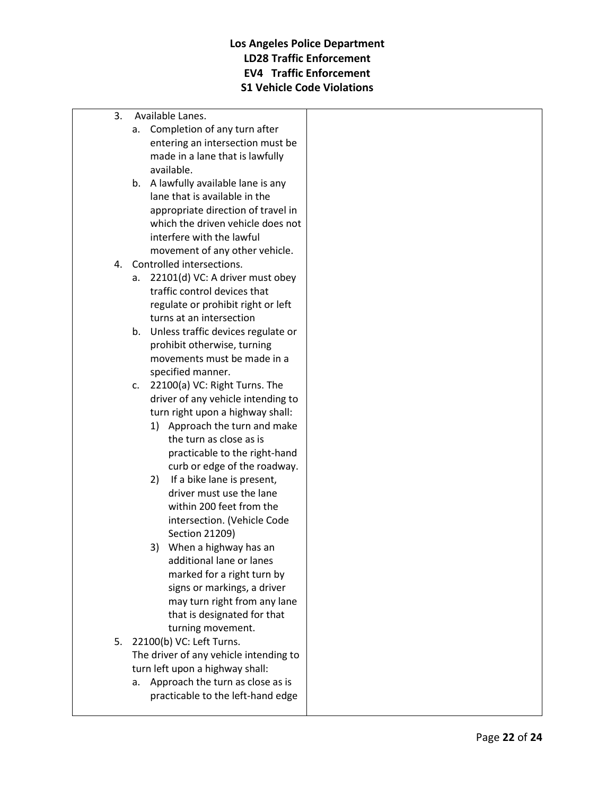- 3. Available Lanes.
	- a. Completion of any turn after entering an intersection must be made in a lane that is lawfully available.
	- b. A lawfully available lane is any lane that is available in the appropriate direction of travel in which the driven vehicle does not interfere with the lawful movement of any other vehicle.
- 4. Controlled intersections.
	- a. 22101(d) VC: A driver must obey traffic control devices that regulate or prohibit right or left turns at an intersection
	- b. Unless traffic devices regulate or prohibit otherwise, turning movements must be made in a specified manner.
	- c. 22100(a) VC: Right Turns. The driver of any vehicle intending to turn right upon a highway shall:
		- 1) Approach the turn and make the turn as close as is practicable to the right-hand curb or edge of the roadway.
		- 2) If a bike lane is present, driver must use the lane within 200 feet from the intersection. (Vehicle Code Section 21209)
		- 3) When a highway has an additional lane or lanes marked for a right turn by signs or markings, a driver may turn right from any lane that is designated for that turning movement.
- 5. 22100(b) VC: Left Turns. The driver of any vehicle intending to turn left upon a highway shall:
	- a. Approach the turn as close as is practicable to the left-hand edge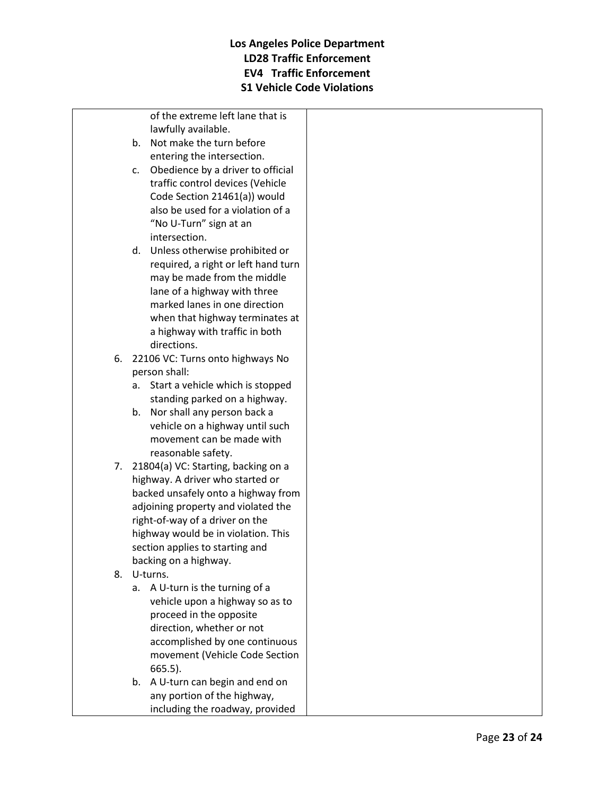of the extreme left lane that is lawfully available.

- b. Not make the turn before entering the intersection.
- c. Obedience by a driver to official traffic control devices (Vehicle Code Section 21461(a)) would also be used for a violation of a "No U-Turn" sign at an intersection.
- d. Unless otherwise prohibited or required, a right or left hand turn may be made from the middle lane of a highway with three marked lanes in one direction when that highway terminates at a highway with traffic in both directions.
- 6. 22106 VC: Turns onto highways No person shall:
	- a. Start a vehicle which is stopped standing parked on a highway.
	- b. Nor shall any person back a vehicle on a highway until such movement can be made with reasonable safety.
- 7. 21804(a) VC: Starting, backing on a highway. A driver who started or backed unsafely onto a highway from adjoining property and violated the right-of-way of a driver on the highway would be in violation. This section applies to starting and backing on a highway.
- 8. U-turns.
	- a. A U-turn is the turning of a vehicle upon a highway so as to proceed in the opposite direction, whether or not accomplished by one continuous movement (Vehicle Code Section 665.5).
	- b. A U-turn can begin and end on any portion of the highway, including the roadway, provided